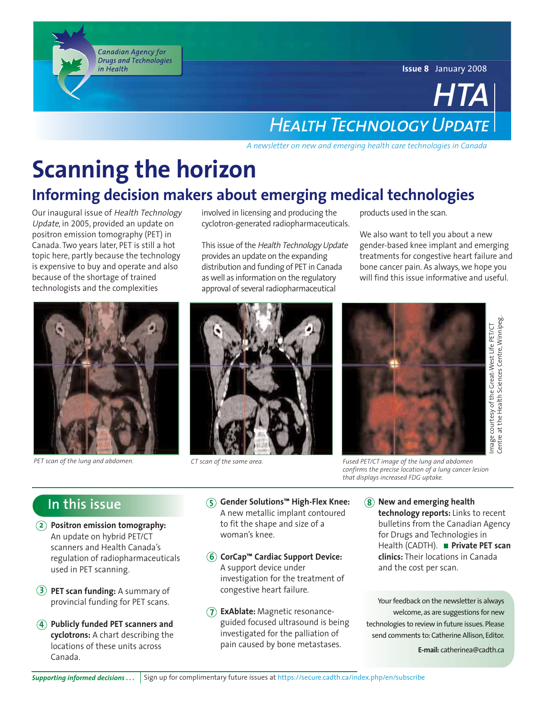**Issue 8** January 2008

## *HTA Health Technology Update*

*A newsletter on new and emerging health care technologies in Canada*

## **Scanning the horizon Informing decision makers about emerging medical technologies**

Our inaugural issue of Health Technology Update, in 2005, provided an update on positron emission tomography (PET) in Canada. Two years later, PET is still a hot topic here, partly because the technology is expensive to buy and operate and also because of the shortage of trained technologists and the complexities

Canadian Agency for **Drugs and Technologies** 

in Health



*PET scan of the lung and abdomen.*

involved in licensing and producing the cyclotron-generated radiopharmaceuticals.

This issue of the Health Technology Update provides an update on the expanding distribution and funding of PET in Canada as well as information on the regulatory approval of several radiopharmaceutical



products used in the scan.

We also want to tell you about a new gender-based knee implant and emerging treatments for congestive heart failure and bone cancer pain. As always, we hope you will find this issue informative and useful.



mage courtesy of the Great-West Life PET/CT<br>Centre at the Health Sciences Centre, Winnipeg Centre at the Health Sciences Centre, Winnipeg.

*CT scan of the same area. Fused PET/CT image of the lung and abdomen confirms the precise location of a lung cancer lesion that displays increased FDG uptake.*

## **In this issue**

- **2 Positron emission tomography:** An update on hybrid PET/CT scanners and Health Canada's regulation of radiopharmaceuticals used in PET scanning.
- **3 PET scan funding:** A summary of provincial funding for PET scans.
- **4 Publicly funded PET scanners and cyclotrons:** A chart describing the locations of these units across Canada.
- **5 Gender Solutions™ High-Flex Knee:** A new metallic implant contoured to fit the shape and size of a woman's knee.
- **6 CorCap™ Cardiac Support Device:** A support device under investigation for the treatment of congestive heart failure.
- **7 ExAblate:** Magnetic resonanceguided focused ultrasound is being investigated for the palliation of pain caused by bone metastases.

**8 New and emerging health technology reports:** Links to recent bulletins from the Canadian Agency for Drugs and Technologies in Health (CADTH). **Private PET scan clinics:** Their locations in Canada and the cost per scan.

Your feedback on the newsletter is always welcome, as are suggestions for new technologies to review in future issues. Please send comments to: Catherine Allison, Editor.

**E-mail:** catherinea@cadth.ca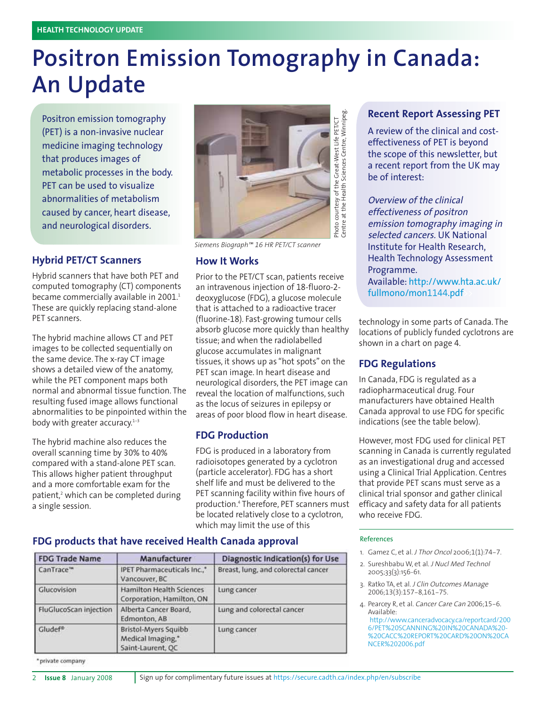# **Positron Emission Tomography in Canada: An Update**

Positron emission tomography (PET) is a non-invasive nuclear medicine imaging technology that produces images of metabolic processes in the body. PET can be used to visualize abnormalities of metabolism caused by cancer, heart disease, and neurological disorders.

### **Hybrid PET/CT Scanners**

Hybrid scanners that have both PET and computed tomography (CT) components became commercially available in 2001.<sup>1</sup> These are quickly replacing stand-alone PET scanners.

The hybrid machine allows CT and PET images to be collected sequentially on the same device. The x-ray CT image shows a detailed view of the anatomy, while the PET component maps both normal and abnormal tissue function. The resulting fused image allows functional abnormalities to be pinpointed within the body with greater accuracy. $1-3$ 

The hybrid machine also reduces the overall scanning time by 30% to 40% compared with a stand-alone PET scan. This allows higher patient throughput and a more comfortable exam for the patient,<sup>2</sup> which can be completed during a single session.



*Siemens Biograph™ 16 HR PET/CT scanner*

#### **How It Works**

Prior to the PET/CT scan, patients receive an intravenous injection of 18-fluoro-2 deoxyglucose (FDG), a glucose molecule that is attached to a radioactive tracer (fluorine-18). Fast-growing tumour cells absorb glucose more quickly than healthy tissue; and when the radiolabelled glucose accumulates in malignant tissues, it shows up as "hot spots" on the PET scan image. In heart disease and neurological disorders, the PET image can reveal the location of malfunctions, such as the locus of seizures in epilepsy or areas of poor blood flow in heart disease.

### **FDG Production**

FDG is produced in a laboratory from radioisotopes generated by a cyclotron (particle accelerator). FDG has a short shelf life and must be delivered to the PET scanning facility within five hours of production.<sup>4</sup> Therefore, PET scanners must be located relatively close to a cyclotron, which may limit the use of this

### **Recent Report Assessing PET**

A review of the clinical and costeffectiveness of PET is beyond the scope of this newsletter, but a recent report from the UK may be of interest:

Overview of the clinical effectiveness of positron emission tomography imaging in selected cancers. UK National Institute for Health Research, Health Technology Assessment Programme. Available: http://www.hta.ac.uk/ fullmono/mon1144.pdf>>

technology in some parts of Canada. The locations of publicly funded cyclotrons are shown in a chart on page 4.

### **FDG Regulations**

In Canada, FDG is regulated as a radiopharmaceutical drug. Four manufacturers have obtained Health Canada approval to use FDG for specific indications (see the table below).

However, most FDG used for clinical PET scanning in Canada is currently regulated as an investigational drug and accessed using a Clinical Trial Application. Centres that provide PET scans must serve as a clinical trial sponsor and gather clinical efficacy and safety data for all patients who receive FDG.

#### References

- 1. Gamez C, et al. J Thor Oncol 2006;1(1):74-7.
- 2. Sureshbabu W, et al. J Nucl Med Technol 2005;33(3):156-61.
- 3. Ratko TA, et al. J Clin Outcomes Manage 2006;13(3):157-8,161-75.
- 4. Pearcey R, et al. Cancer Care Can 2006;15-6. Available:

http://www.canceradvocacy.ca/reportcard/200 6/PET%20SCANNING%20IN%20CANADA%20- %20CACC%20REPORT%20CARD%20ON%20CA NCER%202006.pdf

#### **FDG products that have received Health Canada approval**

| <b>FDG Trade Name</b>  | Manufacturer                                                   | <b>Diagnostic Indication(s) for Use</b> |  |
|------------------------|----------------------------------------------------------------|-----------------------------------------|--|
| CanTrace <sup>**</sup> | IPET Pharmaceuticals Inc.,*<br>Vancouver, BC                   | Breast, lung, and colorectal cancer     |  |
| Glucovision            | <b>Hamilton Health Sciences</b><br>Corporation, Hamilton, ON   | Lung cancer                             |  |
| FluGlucoScan injection | Alberta Cancer Board.<br>Edmonton, AB                          | Lung and colorectal cancer              |  |
| Gludef <sup>®</sup>    | Bristol-Myers Squibb<br>Medical Imaging,"<br>Saint-Laurent, OC | Lung cancer                             |  |

\* private company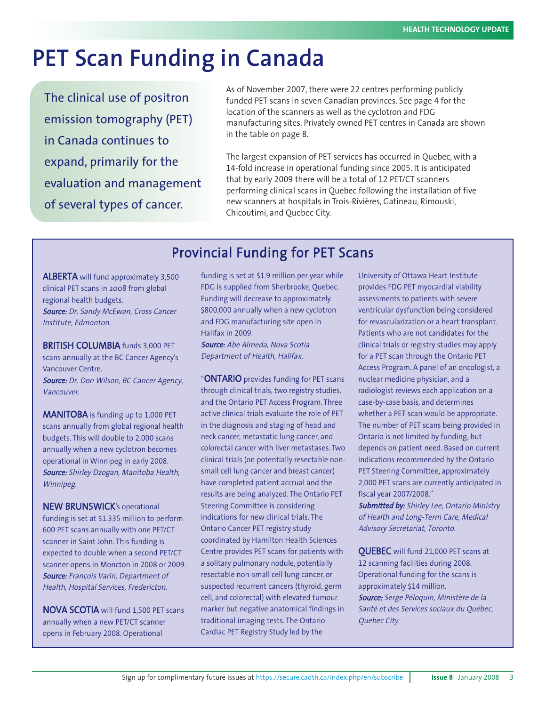# **PET Scan Funding in Canada**

The clinical use of positron emission tomography (PET) in Canada continues to expand, primarily for the evaluation and management of several types of cancer.

As of November 2007, there were 22 centres performing publicly funded PET scans in seven Canadian provinces. See page 4 for the location of the scanners as well as the cyclotron and FDG manufacturing sites. Privately owned PET centres in Canada are shown in the table on page 8.

The largest expansion of PET services has occurred in Quebec, with a 14-fold increase in operational funding since 2005. It is anticipated that by early 2009 there will be a total of 12 PET/CT scanners performing clinical scans in Quebec following the installation of five new scanners at hospitals in Trois-Rivières, Gatineau, Rimouski, Chicoutimi, and Quebec City.

## Provincial Funding for PET Scans

ALBERTA will fund approximately 3,500 clinical PET scans in 2008 from global regional health budgets. Source: Dr. Sandy McEwan, Cross Cancer Institute, Edmonton.

BRITISH COLUMBIA funds 3,000 PET scans annually at the BC Cancer Agency's Vancouver Centre. Source: Dr. Don Wilson, BC Cancer Agency, Vancouver.

MANITOBA is funding up to 1,000 PET scans annually from global regional health budgets. This will double to 2,000 scans annually when a new cyclotron becomes operational in Winnipeg in early 2008. Source: Shirley Dzogan, Manitoba Health, Winnipeg.

NEW BRUNSWICK's operational funding is set at \$1.335 million to perform 600 PET scans annually with one PET/CT scanner in Saint John. This funding is expected to double when a second PET/CT scanner opens in Moncton in 2008 or 2009. Source: François Varin, Department of Health, Hospital Services, Fredericton.

NOVA SCOTIA will fund 1,500 PET scans annually when a new PET/CT scanner opens in February 2008. Operational

funding is set at \$1.9 million per year while FDG is supplied from Sherbrooke, Quebec. Funding will decrease to approximately \$800,000 annually when a new cyclotron and FDG manufacturing site open in Halifax in 2009.

Source: Abe Almeda, Nova Scotia Department of Health, Halifax.

"ONTARIO provides funding for PET scans through clinical trials, two registry studies, and the Ontario PET Access Program. Three active clinical trials evaluate the role of PET in the diagnosis and staging of head and neck cancer, metastatic lung cancer, and colorectal cancer with liver metastases. Two clinical trials (on potentially resectable nonsmall cell lung cancer and breast cancer) have completed patient accrual and the results are being analyzed. The Ontario PET Steering Committee is considering indications for new clinical trials. The Ontario Cancer PET registry study coordinated by Hamilton Health Sciences Centre provides PET scans for patients with a solitary pulmonary nodule, potentially resectable non-small cell lung cancer, or suspected recurrent cancers (thyroid, germ cell, and colorectal) with elevated tumour marker but negative anatomical findings in traditional imaging tests. The Ontario Cardiac PET Registry Study led by the

University of Ottawa Heart Institute provides FDG PET myocardial viability assessments to patients with severe ventricular dysfunction being considered for revascularization or a heart transplant. Patients who are not candidates for the clinical trials or registry studies may apply for a PET scan through the Ontario PET Access Program. A panel of an oncologist, a nuclear medicine physician, and a radiologist reviews each application on a case-by-case basis, and determines whether a PET scan would be appropriate. The number of PET scans being provided in Ontario is not limited by funding, but depends on patient need. Based on current indications recommended by the Ontario PET Steering Committee, approximately 2,000 PET scans are currently anticipated in fiscal year 2007/2008."

Submitted by: Shirley Lee, Ontario Ministry of Health and Long-Term Care, Medical Advisory Secretariat, Toronto.

QUEBEC will fund 21,000 PET scans at 12 scanning facilities during 2008. Operational funding for the scans is approximately \$14 million. Source: Serge Péloquin, Ministère de la Santé et des Services sociaux du Québec, Quebec City.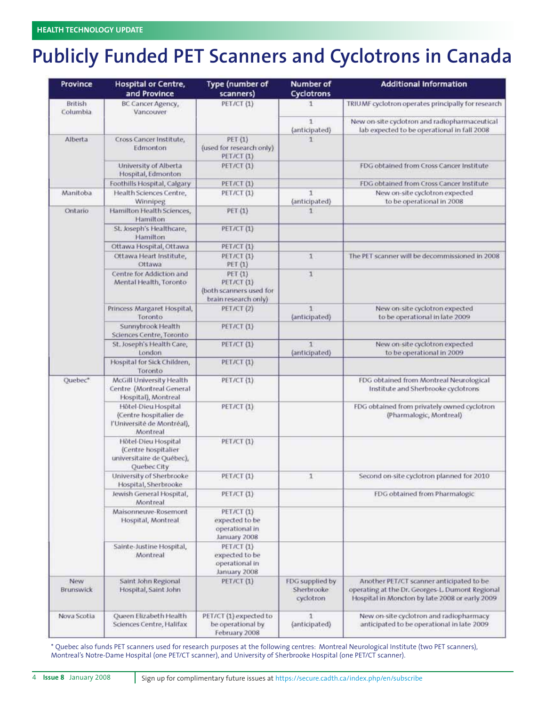## **Publicly Funded PET Scanners and Cyclotrons in Canada**

| Province            | <b>Hospital or Centre,</b><br>and Province                                              | <b>Type (number of</b><br>scanners)                                      | <b>Number of</b><br>Cyclotrons             | <b>Additional Information</b>                                                                                                                 |
|---------------------|-----------------------------------------------------------------------------------------|--------------------------------------------------------------------------|--------------------------------------------|-----------------------------------------------------------------------------------------------------------------------------------------------|
| British<br>Columbia | BC Cancer Agency,<br>Vancouver                                                          | PET/CT (1)                                                               | ı.                                         | TRIUMF cyclotron operates principally for research                                                                                            |
|                     |                                                                                         |                                                                          | 1<br>(anticipated)                         | New on-site cyclotron and radiopharmaceutical<br>lab expected to be operational in fall 2008                                                  |
| Alberta             | Cross Cancer Institute,<br>Edmonton                                                     | PET (1)<br>(used for research only)<br>PET/CT (1)                        | 1                                          |                                                                                                                                               |
|                     | University of Alberta<br>Hospital, Edmonton                                             | PET/CT (1)                                                               |                                            | FDG obtained from Cross Cancer Institute.                                                                                                     |
|                     | Foothills Hospital, Calgary                                                             | PET/CT(1)                                                                |                                            | FDG obtained from Cross Cancer Institute                                                                                                      |
| Manitoba            | Health Sciences Centre,<br>Winnipeg                                                     | <b>PET/CT (1)</b>                                                        | 1<br>(anticipated)                         | New on-site cyclotron expected<br>to be operational in 2008                                                                                   |
| Ontario             | Hamilton Health Sciences,<br>Hamilton                                                   | PET (1)                                                                  | 1                                          |                                                                                                                                               |
|                     | St. Joseph's Healthcare,<br>Hamilton                                                    | PET/CT(1)                                                                |                                            |                                                                                                                                               |
|                     | Ottawa Hospital, Ottawa                                                                 | PET/CT(1)                                                                |                                            |                                                                                                                                               |
|                     | Ottawa Heart Institute,<br>Ottawa                                                       | PET/CT (1)<br>PET(1)                                                     | $\mathbf{1}$                               | The PET scanner will be decommissioned in 2008                                                                                                |
|                     | Centre for Addiction and<br>Mental Health, Toronto                                      | PET (1)<br>PET/CT (1)<br>(both scanners used for<br>brain research only) | 1                                          |                                                                                                                                               |
|                     | Princess Margaret Hospital,<br>Toronto                                                  | PET/CT (2)                                                               | 1<br>(anticipated)                         | New on-site cyclotron expected<br>to be operational in late 2009                                                                              |
|                     | Sunnybrook Health<br>Sciences Centre, Toronto                                           | PET/CT(1)                                                                |                                            |                                                                                                                                               |
|                     | St. Joseph's Health Care,<br>London                                                     | PET/CT (1)                                                               | $\mathbf{1}$<br>(anticipated)              | New on-site cyclotron expected<br>to be operational in 2009                                                                                   |
|                     | Hospital for Sick Children,<br>Toronto                                                  | PET/CT(1)                                                                |                                            |                                                                                                                                               |
| Quebec*             | McGill University Health<br>Centre (Montreal General<br>Hospital), Montreal             | PET/CT(1)                                                                |                                            | FDG obtained from Montreal Neurological<br>Institute and Sherbrooke cyclotrons                                                                |
|                     | Hôtel-Dieu Hospital<br>(Centre hospitalier de<br>l'Université de Montréal),<br>Montreal | PET/CT(1)                                                                |                                            | FDG obtained from privately owned cyclotron<br>(Pharmalogic, Montreal)                                                                        |
|                     | Hötel-Dieu Hospital<br>(Centre hospitalier<br>universitaire de Québec),<br>Quebec City  | <b>PET/CT (1)</b>                                                        |                                            |                                                                                                                                               |
|                     | University of Sherbrooke<br>Hospital, Sherbrooke                                        | PET/CT (1)                                                               | 1                                          | Second on-site cyclotron planned for 2010                                                                                                     |
|                     | Jewish General Hospital,<br>Montreal                                                    | PET/CT(1)                                                                |                                            | FDG obtained from Pharmalogic                                                                                                                 |
|                     | Maisonneuve-Rosemont<br>Hospital, Montreal                                              | PET/CT(1)<br>expected to be<br>operational in<br>January 2008            |                                            |                                                                                                                                               |
|                     | Sainte-Justine Hospital,<br>Montreal                                                    | PET/CT(1)<br>expected to be<br>operational in<br>January 2008            |                                            |                                                                                                                                               |
| New<br>Brunswick    | Saint John Regional<br>Hospital, Saint John                                             | PET/CT(1)                                                                | FDG supplied by<br>Sherbrooke<br>cyclotron | Another PET/CT scanner anticipated to be<br>operating at the Dr. Georges-L. Dumont Regional<br>Hospital in Moncton by late 2008 or early 2009 |
| Nova Scotia         | Queen Elizabeth Health<br>Sciences Centre, Halifax                                      | PET/CT (1) expected to<br>be operational by<br>February 2008             | Ŧ<br>(anticipated)                         | New on-site cyclotron and radiopharmacy<br>anticipated to be operational in late 2009                                                         |

\* Quebec also funds PET scanners used for research purposes at the following centres: Montreal Neurological Institute (two PET scanners), Montreal's Notre-Dame Hospital (one PET/CT scanner), and University of Sherbrooke Hospital (one PET/CT scanner).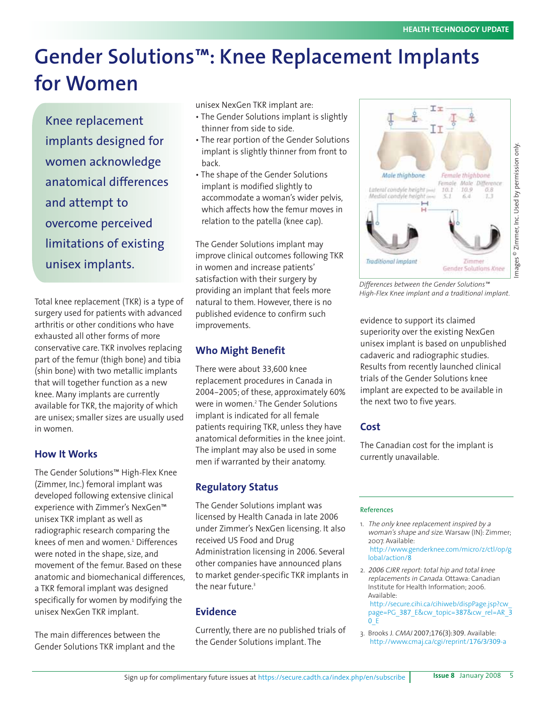## **Gender Solutions™: Knee Replacement Implants for Women**

Knee replacement implants designed for women acknowledge anatomical differences and attempt to overcome perceived limitations of existing unisex implants.

Total knee replacement (TKR) is a type of surgery used for patients with advanced arthritis or other conditions who have exhausted all other forms of more conservative care. TKR involves replacing part of the femur (thigh bone) and tibia (shin bone) with two metallic implants that will together function as a new knee. Many implants are currently available for TKR, the majority of which are unisex; smaller sizes are usually used in women.

## **How It Works**

The Gender Solutions™ High-Flex Knee (Zimmer, Inc.) femoral implant was developed following extensive clinical experience with Zimmer's NexGen™ unisex TKR implant as well as radiographic research comparing the knees of men and women.<sup>1</sup> Differences were noted in the shape, size, and movement of the femur. Based on these anatomic and biomechanical differences, a TKR femoral implant was designed specifically for women by modifying the unisex NexGen TKR implant.

The main differences between the Gender Solutions TKR implant and the unisex NexGen TKR implant are:

- The Gender Solutions implant is slightly thinner from side to side.
- The rear portion of the Gender Solutions implant is slightly thinner from front to back.
- The shape of the Gender Solutions implant is modified slightly to accommodate a woman's wider pelvis, which affects how the femur moves in relation to the patella (knee cap).

The Gender Solutions implant may improve clinical outcomes following TKR in women and increase patients' satisfaction with their surgery by providing an implant that feels more natural to them. However, there is no published evidence to confirm such improvements.

## **Who Might Benefit**

There were about 33,600 knee replacement procedures in Canada in 2004-2005; of these, approximately 60% were in women.<sup>2</sup> The Gender Solutions implant is indicated for all female patients requiring TKR, unless they have anatomical deformities in the knee joint. The implant may also be used in some men if warranted by their anatomy.

## **Regulatory Status**

The Gender Solutions implant was licensed by Health Canada in late 2006 under Zimmer's NexGen licensing. It also received US Food and Drug Administration licensing in 2006. Several other companies have announced plans to market gender-specific TKR implants in the near future.<sup>3</sup>

## **Evidence**

Currently, there are no published trials of the Gender Solutions implant. The



*Differences between the Gender Solutions™ High-Flex Knee implant and a traditional implant.*

evidence to support its claimed superiority over the existing NexGen unisex implant is based on unpublished cadaveric and radiographic studies. Results from recently launched clinical trials of the Gender Solutions knee implant are expected to be available in the next two to five years.

## **Cost**

The Canadian cost for the implant is currently unavailable.

#### References

- 1. The only knee replacement inspired by a woman's shape and size. Warsaw (IN): Zimmer; 2007. Available: http://www.genderknee.com/micro/z/ctl/op/g lobal/action/8
- 2. <sup>2006</sup> CJRR report: total hip and total knee replacements in Canada. Ottawa: Canadian Institute for Health Information; 2006. Available:

http://secure.cihi.ca/cihiweb/dispPage.jsp?cw page=PG\_387\_E&cw\_topic=387&cw\_rel=AR\_3  $0E$ 

3. Brooks J. CMAJ 2007;176(3):309. Available: http://www.cmaj.ca/cgi/reprint/176/3/309-a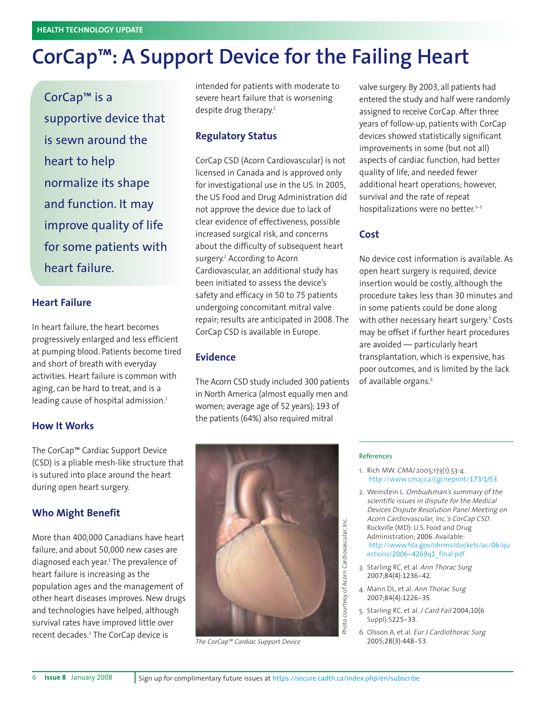## **CorCap™: A Support Device for the Failing Heart**

CorCap™ is a supportive device that is sewn around the heart to help normalize its shape and function. It may improve quality of life for some patients with heart failure.

### **Heart Failure**

In heart failure, the heart becomes progressively enlarged and less efficient at pumping blood. Patients become tired and short of breath with everyday activities. Heart failure is common with aging, can be hard to treat, and is a leading cause of hospital admission.<sup>1</sup>

#### **How It Works**

The CorCap™ Cardiac Support Device (CSD) is a pliable mesh-like structure that is sutured into place around the heart during open heart surgery.

#### **Who Might Benefit**

More than 400,000 Canadians have heart failure, and about 50,000 new cases are diagnosed each year.<sup>1</sup> The prevalence of heart failure is increasing as the population ages and the management of other heart diseases improves. New drugs and technologies have helped, although survival rates have improved little over recent decades.<sup>1</sup> The CorCap device is

intended for patients with moderate to severe heart failure that is worsening despite drug therapy.<sup>2</sup>

### **Regulatory Status**

CorCap CSD (Acorn Cardiovascular) is not licensed in Canada and is approved only for investigational use in the US. In 2005, the US Food and Drug Administration did not approve the device due to lack of clear evidence of effectiveness, possible increased surgical risk, and concerns about the difficulty of subsequent heart surgery.<sup>2</sup> According to Acorn Cardiovascular, an additional study has been initiated to assess the device's safety and efficacy in 50 to 75 patients undergoing concomitant mitral valve repair; results are anticipated in 2008. The CorCap CSD is available in Europe.

### **Evidence**

The Acorn CSD study included 300 patients in North America (almost equally men and women; average age of 52 years); 193 of the patients (64%) also required mitral

valve surgery. By 2003, all patients had entered the study and half were randomly assigned to receive CorCap. After three years of follow-up, patients with CorCap devices showed statistically significant improvements in some (but not all) aspects of cardiac function, had better quality of life, and needed fewer additional heart operations; however, survival and the rate of repeat hospitalizations were no better.<sup>3-5</sup>

### **Cost**

No device cost information is available. As open heart surgery is required, device insertion would be costly, although the procedure takes less than 30 minutes and in some patients could be done along with other necessary heart surgery.<sup>5</sup> Costs may be offset if further heart procedures are avoided — particularly heart transplantation, which is expensive, has poor outcomes, and is limited by the lack of available organs.<sup>6</sup>



*The CorCap™ Cardiac Support Device*

#### References

- 1. Rich MW. CMAJ 2005;173(1):53-4. http://www.cmaj.ca/cgi/reprint/173/1/53
- 2. Weinstein L. Ombudsman's summary of the scientific issues in dispute for the Medical Devices Dispute Resolution Panel Meeting on Acorn Cardiovascular, Inc.'s CorCap CSD. Rockville (MD): U.S. Food and Drug Administration; 2006. Available: http://www.fda.gov/ohrms/dockets/ac/06/qu estions/2006-4269q1 final.pdf
- 3. Starling RC, et al. Ann Thorac Surg 2007;84(4):1236-42.
- 4. Mann DL, et al. Ann Thorac Surg 2007;84(4):1226-35.
- 5. Starling RC, et al. J Card Fail 2004;10(6 Suppl):S225-33.
- 6. Olsson A, et al. Eur J Cardiothorac Surg 2005;28(3):448-53.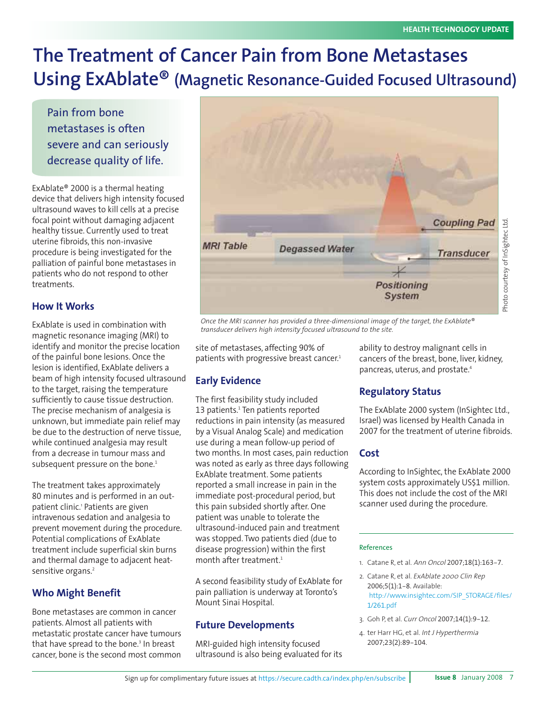## **The Treatment of Cancer Pain from Bone Metastases Using ExAblate® (Magnetic Resonance-Guided Focused Ultrasound)**

Pain from bone metastases is often severe and can seriously decrease quality of life.

ExAblate® 2000 is a thermal heating device that delivers high intensity focused ultrasound waves to kill cells at a precise focal point without damaging adjacent healthy tissue. Currently used to treat uterine fibroids, this non-invasive procedure is being investigated for the palliation of painful bone metastases in patients who do not respond to other treatments.

## **How It Works**

ExAblate is used in combination with magnetic resonance imaging (MRI) to identify and monitor the precise location of the painful bone lesions. Once the lesion is identified, ExAblate delivers a beam of high intensity focused ultrasound to the target, raising the temperature sufficiently to cause tissue destruction. The precise mechanism of analgesia is unknown, but immediate pain relief may be due to the destruction of nerve tissue, while continued analgesia may result from a decrease in tumour mass and subsequent pressure on the bone.<sup>1</sup>

The treatment takes approximately 80 minutes and is performed in an outpatient clinic.<sup>1</sup> Patients are given intravenous sedation and analgesia to prevent movement during the procedure. Potential complications of ExAblate treatment include superficial skin burns and thermal damage to adjacent heatsensitive organs.<sup>2</sup>

## **Who Might Benefit**

Bone metastases are common in cancer patients. Almost all patients with metastatic prostate cancer have tumours that have spread to the bone.<sup>3</sup> In breast cancer, bone is the second most common



*Once the MRI scanner has provided a three-dimensional image of the target, the ExAblate® transducer delivers high intensity focused ultrasound to the site.*

site of metastases, affecting 90% of patients with progressive breast cancer.<sup>1</sup>

## **Early Evidence**

The first feasibility study included 13 patients.<sup>1</sup> Ten patients reported reductions in pain intensity (as measured by a Visual Analog Scale) and medication use during a mean follow-up period of two months. In most cases, pain reduction was noted as early as three days following ExAblate treatment. Some patients reported a small increase in pain in the immediate post-procedural period, but this pain subsided shortly after. One patient was unable to tolerate the ultrasound-induced pain and treatment was stopped. Two patients died (due to disease progression) within the first month after treatment.<sup>1</sup>

A second feasibility study of ExAblate for pain palliation is underway at Toronto's Mount Sinai Hospital.

## **Future Developments**

MRI-guided high intensity focused ultrasound is also being evaluated for its

ability to destroy malignant cells in cancers of the breast, bone, liver, kidney, pancreas, uterus, and prostate.<sup>4</sup>

## **Regulatory Status**

The ExAblate 2000 system (InSightec Ltd., Israel) was licensed by Health Canada in 2007 for the treatment of uterine fibroids.

### **Cost**

According to InSightec, the ExAblate 2000 system costs approximately US\$1 million. This does not include the cost of the MRI scanner used during the procedure.

#### References

- 1. Catane R, et al. Ann Oncol 2007;18(1):163-7.
- 2. Catane R, et al. ExAblate 2000 Clin Rep 2006;5(1):1-8. Available: http://www.insightec.com/SIP\_STORAGE/files/  $1/261.pdf$
- 3. Goh P, et al. Curr Oncol 2007;14(1):9-12.
- 4. ter Harr HG, et al. Int J Hyperthermia 2007;23(2):89-104.